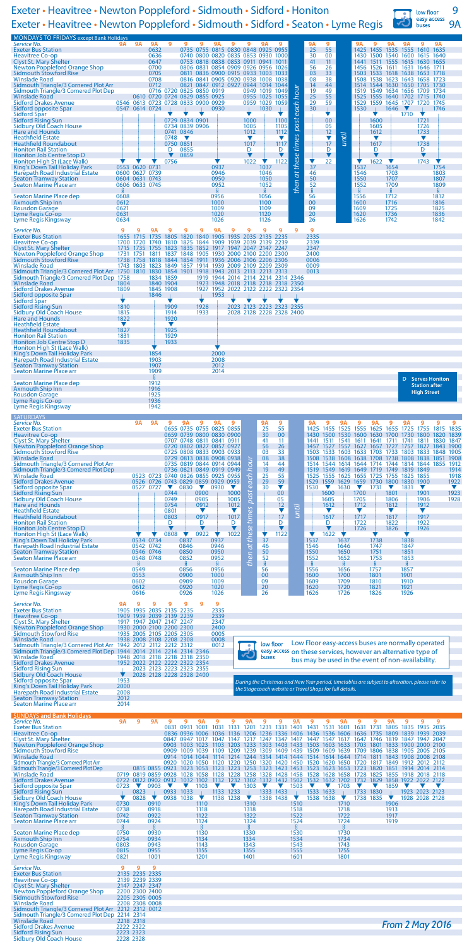## Exeter • Heavitree • Newton Poppleford • Sidmouth • Sidford • Honiton 19 19 100 floor 9 100 m 100 m 100 m 100 m 100 m 100 m 100 m 100 m 100 m 100 m 100 m 100 m 100 m 100 m 100 m 100 m 100 m 100 m 100 m 100 m 100 m 100 m 10 Exeter • Heavitree • Newton Poppleford • Sidmouth • Sidford • Seaton • Lyme Regis (VD) buses 9A



| <b>SUNDAYS and Bank Holidays</b>                |           |                      |           |                |                |           |                |                          |           |                     |           |      |                |                |      |           |                          |           |      |                     |                        |  |
|-------------------------------------------------|-----------|----------------------|-----------|----------------|----------------|-----------|----------------|--------------------------|-----------|---------------------|-----------|------|----------------|----------------|------|-----------|--------------------------|-----------|------|---------------------|------------------------|--|
| Service No.                                     | <b>9A</b> | 9                    | <b>9A</b> | 9              | 9              | <b>9A</b> | 9              | 9                        | <b>9A</b> | 9                   | 9         | 9Α   | 9              | 9              | 9Α   | 9         | 9                        | <b>9A</b> | 9    | 9                   | 9                      |  |
| <b>Exeter Bus Station</b>                       |           |                      |           | 0831           | 0931           | 1001      | 1031           | 1131                     | 1201      | 1231                | 1331      | 1401 | 1431           | 1531 1601      |      | 1631      | 1731                     | 1805 1835 |      | 1935 2035           |                        |  |
| <b>Heavitree Co-op</b>                          |           |                      |           |                | 0836 0936 1006 |           | 1036           | 1136                     | 1206      | 1236 1336 1406      |           |      | 1436 1536 1606 |                |      | 1636      | 1735                     | 1809      | 1839 | 1939 2039           |                        |  |
| <b>Clyst St. Mary Shelter</b>                   |           |                      |           | 0847 0947 1017 |                |           | 1047 1147 1217 |                          |           | 1247 1347 1417      |           |      |                | 1447 1547 1617 |      |           | 1647 1746                |           |      | 1819 1847 1947 2047 |                        |  |
| Newton Poppleford Orange Shop                   |           |                      |           | 0903 1003 1023 |                |           | -1103-         | 1203 1233                |           | 1303 1403 1433      |           |      |                | 1503 1603 1633 |      | 1703 1801 |                          |           |      | 1833 1900 2000 2100 |                        |  |
| <b>Sidmouth Stowford Rise</b>                   |           |                      |           | 0909 1009 1039 |                |           | 1109           | 1209 1239 1309 1409 1439 |           |                     |           |      |                | 1509 1609 1639 |      | 1709      | 1806 1838 1905 2005 2105 |           |      |                     |                        |  |
| <b>Winslade Road</b>                            |           |                      |           |                | 0914 1014 1044 |           |                |                          | 1214 1244 | 1314                | 1414 1444 |      |                | 1514 1614 1644 |      |           | 1811                     | 1843 1908 |      | 2008 2108           |                        |  |
| Sidmouth Triangle/3 Cornered Plot Arr           |           |                      |           | 0920.          | 1020 1050      |           |                |                          | 1250      | 1320                | 1420 1450 |      | 1520.          | 1620           | 1650 |           | 1817                     | 1849      |      | 1912 2012 2112      |                        |  |
| Sidmouth Triangle/3 Cornered Plot Dep           |           |                      |           | 0815 0855 0923 | 1023 1053      |           | 1123           | 1223                     | 1253      | 1323                | 1423 1453 |      |                | 1523 1623 1653 |      | -1723     | 1820                     |           |      | 1851 1914 2014 2114 |                        |  |
| <b>Winslade Road</b>                            |           | 0719 0819 0859 0928  |           |                | 1028 1058      |           | 1128           | 1228                     | 1258 1328 |                     | 1428 1458 |      | 1528           | 1628 1658      |      | 1728      | 1825 1855 1918 2018 2118 |           |      |                     |                        |  |
| <b>Sidford Drakes Avenue</b>                    |           | 0722 0822 0902 0932  |           |                | 1032 1102      |           | 1132           | 1232                     |           | 1302 1332 1432 1502 |           |      |                | 1532 1632 1702 |      | 1732 1829 |                          | 1858 1922 |      | 2022 2122           |                        |  |
| Sidford opposite Spar                           | 0723      | $\blacktriangledown$ | 0903      |                |                | 1103      |                |                          | 1303      |                     | v         | 1503 |                |                | 1703 |           |                          | 1859      |      |                     | v                      |  |
| <b>Sidford Rising Sun</b>                       |           | 0823                 |           | 0933           | 1033           |           | 1133           | 1233                     |           | 1333                | 1433      |      | 1533           | 1633           |      | 1733      | 1830                     |           |      | 1923 2023 2123      |                        |  |
| Sidbury Old Coach House                         |           | 0828                 | v         | 0938 1038      |                | v         | 1138           | 1238                     | v         |                     | 1338 1438 | v    | 1538 1638      |                | v    |           | 1738 1835                | ▼         |      | 1928 2028 2128      |                        |  |
| King's Down Tail Holiday Park                   | 0730      |                      | 0910      |                |                | 1110      |                |                          | 1310      |                     |           | 1510 |                |                | 1710 |           |                          | 1906      |      |                     |                        |  |
| <b>Harepath Road Industrial Estate</b>          | 0738      |                      | 0918      |                |                | 1118      |                |                          | 1318      |                     |           | 1518 |                |                | 1718 |           |                          | 1913      |      |                     |                        |  |
| <b>Seaton Tramway Station</b>                   | 0742      |                      | 0922      |                |                | 1122      |                |                          | 1322      |                     |           | 1522 |                |                | 1722 |           |                          | 1917      |      |                     |                        |  |
| Seaton Marine Place arr                         | 0744      |                      | 0924      |                |                | 1124      |                |                          | 1324      |                     |           | 1524 |                |                | 1724 |           |                          | 1919      |      |                     |                        |  |
|                                                 | ន្ត្រ     |                      | R         |                |                | 8         |                |                          | 8         |                     |           |      |                |                | 8    |           |                          |           |      |                     |                        |  |
| Seaton Marine Place dep                         | 0750      |                      | 0930      |                |                | 1130      |                |                          | 1330      |                     |           | 1530 |                |                | 1730 |           |                          |           |      |                     |                        |  |
| <b>Axmouth Ship Inn</b>                         | 0754      |                      | 0934      |                |                | 1134      |                |                          | 1334      |                     |           | 1534 |                |                | 1734 |           |                          |           |      |                     |                        |  |
| <b>Rousdon Garage</b>                           | 0803      |                      | 0943      |                |                | 1143      |                |                          | 1343      |                     |           | 1543 |                |                | 1743 |           |                          |           |      |                     |                        |  |
| Lyme Regis Co-op                                | 0815      |                      | 0955      |                |                | 1155      |                |                          | 1355      |                     |           | 1555 |                |                | 1755 |           |                          |           |      |                     |                        |  |
| Lyme Regis Kingsway                             | 0821      |                      | 1001      |                |                | 1201      |                |                          | 1401      |                     |           | 1601 |                |                | 1801 |           |                          |           |      |                     |                        |  |
|                                                 |           |                      |           |                |                |           |                |                          |           |                     |           |      |                |                |      |           |                          |           |      |                     |                        |  |
| Service No.                                     | 9         | 9                    | 9         |                |                |           |                |                          |           |                     |           |      |                |                |      |           |                          |           |      |                     |                        |  |
| <b>Exeter Bus Station</b>                       |           | 2135 2235 2335       |           |                |                |           |                |                          |           |                     |           |      |                |                |      |           |                          |           |      |                     |                        |  |
| <b>Heavitree Co-op</b>                          |           | 2139 2239 2339       |           |                |                |           |                |                          |           |                     |           |      |                |                |      |           |                          |           |      |                     |                        |  |
| <b>Clyst St. Mary Shelter</b>                   |           | 2147 2247 2347       |           |                |                |           |                |                          |           |                     |           |      |                |                |      |           |                          |           |      |                     |                        |  |
| Newton Poppleford Orange Shop                   |           | 2200 2300 2400       |           |                |                |           |                |                          |           |                     |           |      |                |                |      |           |                          |           |      |                     |                        |  |
| <b>Sidmouth Stowford Rise</b>                   |           | 2205 2305 0005       |           |                |                |           |                |                          |           |                     |           |      |                |                |      |           |                          |           |      |                     |                        |  |
| <b>Winslade Road</b>                            |           | 2208 2308 0008       |           |                |                |           |                |                          |           |                     |           |      |                |                |      |           |                          |           |      |                     |                        |  |
| Sidmouth Triangle/3 Cornered Plot Arr           |           | 2212 2312 0012       |           |                |                |           |                |                          |           |                     |           |      |                |                |      |           |                          |           |      |                     |                        |  |
| Sidmouth Triangle/3 Cornered Plot Dep 2214 2314 |           |                      |           |                |                |           |                |                          |           |                     |           |      |                |                |      |           |                          |           |      |                     |                        |  |
| <b>Winslade Road</b>                            |           | 2218 2318            |           |                |                |           |                |                          |           |                     |           |      |                |                |      |           |                          |           |      |                     |                        |  |
| <b>Sidford Drakes Avenue</b>                    | 2222 2322 |                      |           |                |                |           |                |                          |           |                     |           |      |                |                |      |           |                          |           |      |                     | <b>From 2 May 2016</b> |  |
| <b>Sidford Rising Sun</b>                       | 2223 2323 |                      |           |                |                |           |                |                          |           |                     |           |      |                |                |      |           |                          |           |      |                     |                        |  |
| Sidbury Old Coach House                         | 2228 2328 |                      |           |                |                |           |                |                          |           |                     |           |      |                |                |      |           |                          |           |      |                     |                        |  |